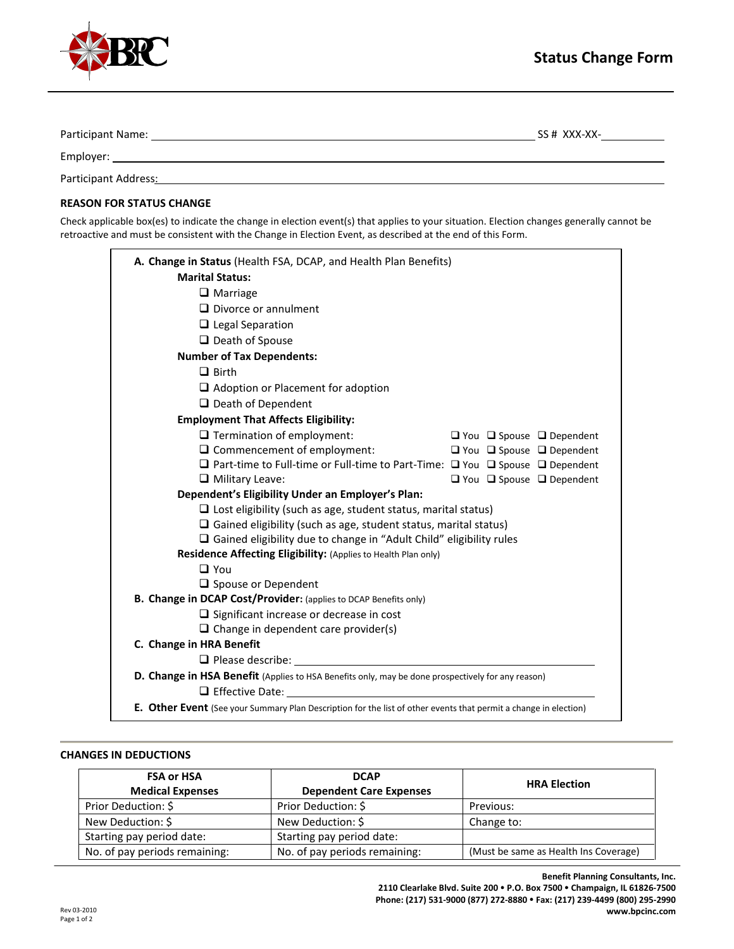

| Participant Name:    | SS # XXX-XX- |
|----------------------|--------------|
| Employer:            |              |
| Participant Address: |              |

## **REASON FOR STATUS CHANGE**

Check applicable box(es) to indicate the change in election event(s) that applies to your situation. Election changes generally cannot be retroactive and must be consistent with the Change in Election Event, as described at the end of this Form.

| A. Change in Status (Health FSA, DCAP, and Health Plan Benefits)<br><b>Marital Status:</b><br>$\Box$ Marriage<br>$\Box$ Divorce or annulment<br>$\Box$ Legal Separation<br>$\Box$ Death of Spouse<br><b>Number of Tax Dependents:</b><br>$\Box$ Birth |  |  |  |
|-------------------------------------------------------------------------------------------------------------------------------------------------------------------------------------------------------------------------------------------------------|--|--|--|
|                                                                                                                                                                                                                                                       |  |  |  |
|                                                                                                                                                                                                                                                       |  |  |  |
|                                                                                                                                                                                                                                                       |  |  |  |
|                                                                                                                                                                                                                                                       |  |  |  |
|                                                                                                                                                                                                                                                       |  |  |  |
|                                                                                                                                                                                                                                                       |  |  |  |
|                                                                                                                                                                                                                                                       |  |  |  |
|                                                                                                                                                                                                                                                       |  |  |  |
| $\Box$ Adoption or Placement for adoption                                                                                                                                                                                                             |  |  |  |
| $\Box$ Death of Dependent                                                                                                                                                                                                                             |  |  |  |
| <b>Employment That Affects Eligibility:</b>                                                                                                                                                                                                           |  |  |  |
| $\Box$ Termination of employment:<br>$\Box$ You $\Box$ Spouse $\Box$ Dependent                                                                                                                                                                        |  |  |  |
| $\Box$ Commencement of employment:<br>$\Box$ You $\Box$ Spouse $\Box$ Dependent                                                                                                                                                                       |  |  |  |
| □ Part-time to Full-time or Full-time to Part-Time: □ You □ Spouse □ Dependent                                                                                                                                                                        |  |  |  |
| $\Box$ Military Leave:<br>$\Box$ You $\Box$ Spouse $\Box$ Dependent                                                                                                                                                                                   |  |  |  |
| Dependent's Eligibility Under an Employer's Plan:                                                                                                                                                                                                     |  |  |  |
| $\Box$ Lost eligibility (such as age, student status, marital status)                                                                                                                                                                                 |  |  |  |
| $\Box$ Gained eligibility (such as age, student status, marital status)                                                                                                                                                                               |  |  |  |
| $\Box$ Gained eligibility due to change in "Adult Child" eligibility rules                                                                                                                                                                            |  |  |  |
| Residence Affecting Eligibility: (Applies to Health Plan only)                                                                                                                                                                                        |  |  |  |
| $\Box$ You                                                                                                                                                                                                                                            |  |  |  |
| $\Box$ Spouse or Dependent                                                                                                                                                                                                                            |  |  |  |
| B. Change in DCAP Cost/Provider: (applies to DCAP Benefits only)                                                                                                                                                                                      |  |  |  |
| $\Box$ Significant increase or decrease in cost                                                                                                                                                                                                       |  |  |  |
| $\Box$ Change in dependent care provider(s)                                                                                                                                                                                                           |  |  |  |
| C. Change in HRA Benefit                                                                                                                                                                                                                              |  |  |  |
| $\Box$ Please describe:                                                                                                                                                                                                                               |  |  |  |
| <b>D. Change in HSA Benefit</b> (Applies to HSA Benefits only, may be done prospectively for any reason)                                                                                                                                              |  |  |  |
| $\Box$ Effective Date:                                                                                                                                                                                                                                |  |  |  |
| E. Other Event (See your Summary Plan Description for the list of other events that permit a change in election)                                                                                                                                      |  |  |  |

## **CHANGES IN DEDUCTIONS**

| <b>FSA or HSA</b><br><b>Medical Expenses</b> | <b>DCAP</b><br><b>Dependent Care Expenses</b> | <b>HRA Election</b>                   |  |
|----------------------------------------------|-----------------------------------------------|---------------------------------------|--|
| Prior Deduction: \$                          | Prior Deduction: \$                           | Previous:                             |  |
| New Deduction: \$                            | New Deduction: \$                             | Change to:                            |  |
| Starting pay period date:                    | Starting pay period date:                     |                                       |  |
| No. of pay periods remaining:                | No. of pay periods remaining:                 | (Must be same as Health Ins Coverage) |  |